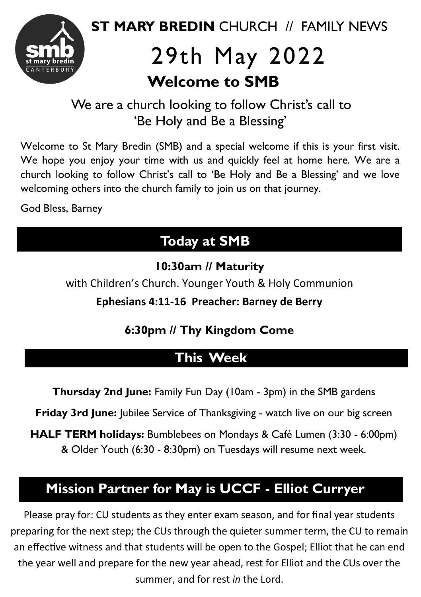

# 29th May 2022  **Welcome to SMB**

We are a church looking to follow Christ's call to 'Be Holy and Be a Blessing'

Welcome to St Mary Bredin (SMB) and a special welcome if this is your first visit. We hope you enjoy your time with us and quickly feel at home here. We are a church looking to follow Christ's call to 'Be Holy and Be a Blessing' and we love welcoming others into the church family to join us on that journey.

God Bless, Barney

## . **Today at SMB**

**10:30am // Maturity**

with Children's Church. Younger Youth & Holy Communion

**Ephesians 4:11-16 Preacher: Barney de Berry** 

### **6:30pm // Thy Kingdom Come**

## **This Week** .

**Thursday 2nd June:** Family Fun Day (10am - 3pm) in the SMB gardens

**Friday 3rd June:** Jubilee Service of Thanksgiving - watch live on our big screen

**HALF TERM holidays:** Bumblebees on Mondays & Café Lumen (3:30 - 6:00pm) & Older Youth (6:30 - 8:30pm) on Tuesdays will resume next week.

### **Mission Partner for May is UCCF** . **- Elliot Curryer**

Please pray for: CU students as they enter exam season, and for final year students preparing for the next step; the CUs through the quieter summer term, the CU to remain an effective witness and that students will be open to the Gospel; Elliot that he can end the year well and prepare for the new year ahead, rest for Elliot and the CUs over the summer, and for rest *in* the Lord.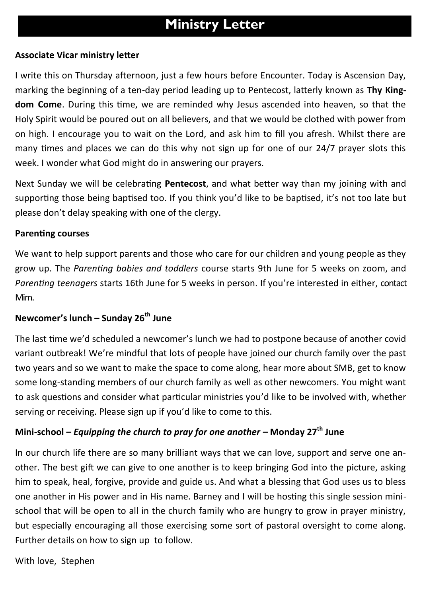#### . **Ministry Letter**

#### **Associate Vicar ministry letter**

I write this on Thursday afternoon, just a few hours before Encounter. Today is Ascension Day, marking the beginning of a ten-day period leading up to Pentecost, latterly known as **Thy Kingdom Come**. During this time, we are reminded why Jesus ascended into heaven, so that the Holy Spirit would be poured out on all believers, and that we would be clothed with power from on high. I encourage you to wait on the Lord, and ask him to fill you afresh. Whilst there are many times and places we can do this why not sign up for one of our 24/7 prayer slots this week. I wonder what God might do in answering our prayers.

Next Sunday we will be celebrating **Pentecost**, and what better way than my joining with and supporting those being baptised too. If you think you'd like to be baptised, it's not too late but please don't delay speaking with one of the clergy.

#### **Parenting courses**

We want to help support parents and those who care for our children and young people as they grow up. The *Parenting babies and toddlers* course starts 9th June for 5 weeks on zoom, and *Parenting teenagers* starts 16th June for 5 weeks in person. If you're interested in either, contact Mim.

#### **Newcomer's lunch – Sunday 26th June**

The last time we'd scheduled a newcomer's lunch we had to postpone because of another covid variant outbreak! We're mindful that lots of people have joined our church family over the past two years and so we want to make the space to come along, hear more about SMB, get to know some long-standing members of our church family as well as other newcomers. You might want to ask questions and consider what particular ministries you'd like to be involved with, whether serving or receiving. Please sign up if you'd like to come to this.

#### **Mini-school –** *Equipping the church to pray for one another –* **Monday 27th June**

In our church life there are so many brilliant ways that we can love, support and serve one another. The best gift we can give to one another is to keep bringing God into the picture, asking him to speak, heal, forgive, provide and guide us. And what a blessing that God uses us to bless one another in His power and in His name. Barney and I will be hosting this single session minischool that will be open to all in the church family who are hungry to grow in prayer ministry, but especially encouraging all those exercising some sort of pastoral oversight to come along. Further details on how to sign up to follow.

With love, Stephen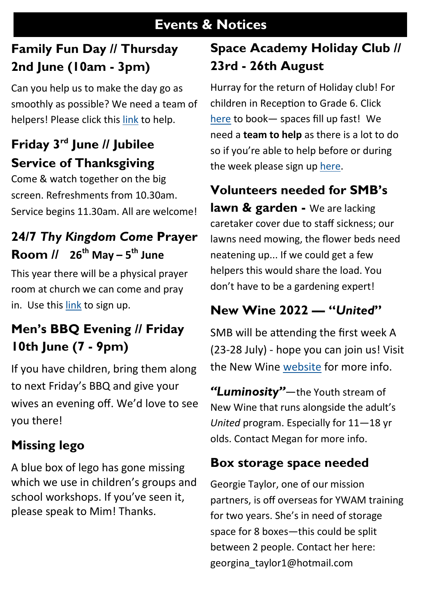#### . **Events & Notices**

#### **Family Fun Day // Thursday 2nd June (10am - 3pm)**

Can you help us to make the day go as smoothly as possible? We need a team of helpers! Please click this [link](https://smb.churchsuite.com/forms/sjeo4omi) to help.

## **Friday 3rd June // Jubilee Service of Thanksgiving**

Come & watch together on the big screen. Refreshments from 10.30am. Service begins 11.30am. All are welcome!

## **24/7** *Thy Kingdom Come* **Prayer Room // 26th May – 5 th June**

This year there will be a physical prayer room at church we can come and pray in. Use this [link](https://pray.24-7prayer.com/signup/c9e9d7) to sign up.

## **Men's BBQ Evening // Friday 10th June (7 - 9pm)**

If you have children, bring them along to next Friday's BBQ and give your wives an evening off. We'd love to see you there!

#### **Missing lego**

A blue box of lego has gone missing which we use in children's groups and school workshops. If you've seen it, please speak to Mim! Thanks.

### **Space Academy Holiday Club // 23rd - 26th August**

Hurray for the return of Holiday club! For children in Reception to Grade 6. Click [here](https://smb.churchsuite.com/events/jes8hzvs) to book— spaces fill up fast! We need a **team to help** as there is a lot to do so if you're able to help before or during the week please sign up [here.](https://smb.churchsuite.com/events/tbevj0jk)

#### **Volunteers needed for SMB's**

**lawn & garden -** We are lacking caretaker cover due to staff sickness; our lawns need mowing, the flower beds need neatening up... If we could get a few helpers this would share the load. You don't have to be a gardening expert!

#### **New Wine 2022 — "***United***"**

SMB will be attending the first week A (23-28 July) - hope you can join us! Visit the New Wine [website](https://www.new-wine.org/events/united22/#section2) for more info.

*"Luminosity"*—the Youth stream of New Wine that runs alongside the adult's *United* program. Especially for 11—18 yr olds. Contact Megan for more info.

#### **Box storage space needed**

Georgie Taylor, one of our mission partners, is off overseas for YWAM training for two years. She's in need of storage space for 8 boxes—this could be split between 2 people. Contact her here: [georgina\\_taylor1@hotmail.com](mailto:georgina_taylor1@hotmail.co.uk)